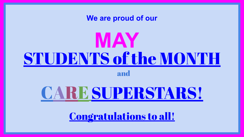



Congratulations to all!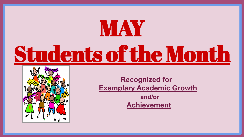## MAY Students of the Month



 **Recognized for Exemplary Academic Growth**

 **Achievement**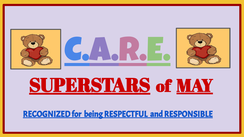

### SUPERSTARS of MAY

#### RECOGNIZED for being RESPECTFUL and RESPONSIBLE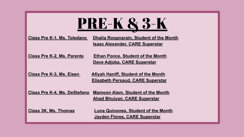| <b>PRE-K &amp; 3-K</b> |  |
|------------------------|--|
|                        |  |

**Class Pre K-1, Ms. Toledano Dhalia Roopnarain, Student of the Month Isaac Alexander, CARE Superstar**

**Class Pre K-2, Ms. Parente Ethan Ponce. Student of the Month Dave Adjoba, CARE Superstar**

**Class Pre K-3, Ms. Eisen Afiyah Haniff, Student of the Month Elisabeth Persaud, CARE Superstar**

**Class Pre K-4, Ms. DeStefano Mamoon Alam, Student of the Month Ahad Bhuiyan, CARE Superstar**

**Class 3K, Ms. Thomas Luna Quinones, Student of the Month Jayden Flores, CARE Superstar**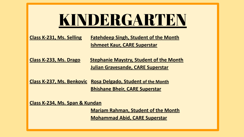#### KINDERGARTEN

**Class K-231, Ms. Selling Fatehdeep Singh, Student of the Month Ishmeet Kaur, CARE Superstar**

**Class K-233, Ms. Drago Stephanie Maystry, Student of the Month Julian Gravesande, CARE Superstar**

**Class K-237, Ms. Benkovic Rosa Delgado, Student of the Month Bhishane Bheir, CARE Superstar**

**Class K-234, Ms. Span & Kundan**

 **Mariam Rahman, Student of the Month Mohammad Abid, CARE Superstar**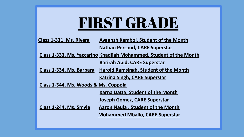#### FIRST GRADE

| Class 1-331, Ms. Rivera | Ayaansh Kamboj, Student of the Month  |
|-------------------------|---------------------------------------|
|                         | <b>Nathan Persaud, CARE Superstar</b> |

**Class 1-333, Ms. Yaccarino Khadijah Mohammed, Student of the Month**

 **Barirah Abid, CARE Superstar**

**Class 1-334, Ms. Barbara Harold Ramsingh, Student of the Month Katrina Singh, CARE Superstar**

**Class 1-344, Ms. Woods & Ms. Coppola** 

 **Karna Datta, Student of the Month**

 **Joseph Gomez, CARE Superstar**

**Class 1-244, Ms. Smyle Aaron Naula , Student of the Month**

 **Mohammed Mballo, CARE Superstar**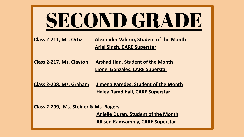# SECOND GRADE

**Class 2-211, Ms. Ortiz Alexander Valerio, Student of the Month Ariel Singh, CARE Superstar**

**Class 2-217, Ms. Clayton Arshad Haq, Student of the Month Lionel Gonzales, CARE Superstar**

**Class 2-208, Ms. Graham Jimena Paredes, Student of the Month Haley Ramdihall, CARE Superstar**

**Class 2-209, Ms. Steiner & Ms. Rogers** 

 **Anielle Duran, Student of the Month**

**Allison Ramsammy, CARE Superstar**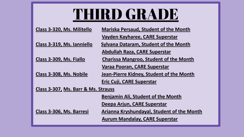### THIRD GRADE

| Class 3-320, Ms. Militello          | <b>Mariska Persaud, Student of the Month</b>      |
|-------------------------------------|---------------------------------------------------|
|                                     | Vayden Kayharee, CARE Superstar                   |
| Class 3-319, Ms. Ianniello          | <b>Sylvana Dataram, Student of the Month</b>      |
|                                     | Abdullah Raza, CARE Superstar                     |
| Class 3-309, Ms. Fiallo             | <b>Charissa Mangroo, Student of the Month</b>     |
|                                     | Varaa Pooran, CARE Superstar                      |
| Class 3-308, Ms. Nobile             | Jean-Pierre Kidney, Student of the Month          |
|                                     | Eric Cuji, CARE Superstar                         |
| Class 3-307, Ms. Barr & Ms. Strauss |                                                   |
|                                     | <b>Benjamin Ali, Student of the Month</b>         |
|                                     | Deepa Arjun, CARE Superstar                       |
| Class 3-306, Ms. Barresi            | <b>Arianna Kryshundayal, Student of the Month</b> |
|                                     | <b>Aurum Mandalay, CARE Superstar</b>             |
|                                     |                                                   |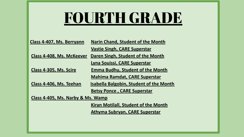#### FOURTH GRADE

| Class 4-407, Ms. Berryann         | Narin Chand, Student of the Month              |
|-----------------------------------|------------------------------------------------|
|                                   | <b>Vastie Singh, CARE Superstar</b>            |
| Class 4-408, Ms. McKeever         | Daren Singh, Student of the Month              |
|                                   | Lyna Souissi, CARE Superstar                   |
| Class 4-305, Ms. Scire            | <b>Emma Budhu, Student of the Month</b>        |
|                                   | <b>Mahima Ramdat, CARE Superstar</b>           |
| Class 4-406, Ms. Teehan           | <b>Isabella Balgobin, Student of the Month</b> |
|                                   | <b>Betsy Ponce, CARE Superstar</b>             |
| Class 4-405, Ms. Narby & Ms. Wamp |                                                |
|                                   | Kiran Motilall, Student of the Month           |
|                                   | <b>Athyma Subryan, CARE Superstar</b>          |